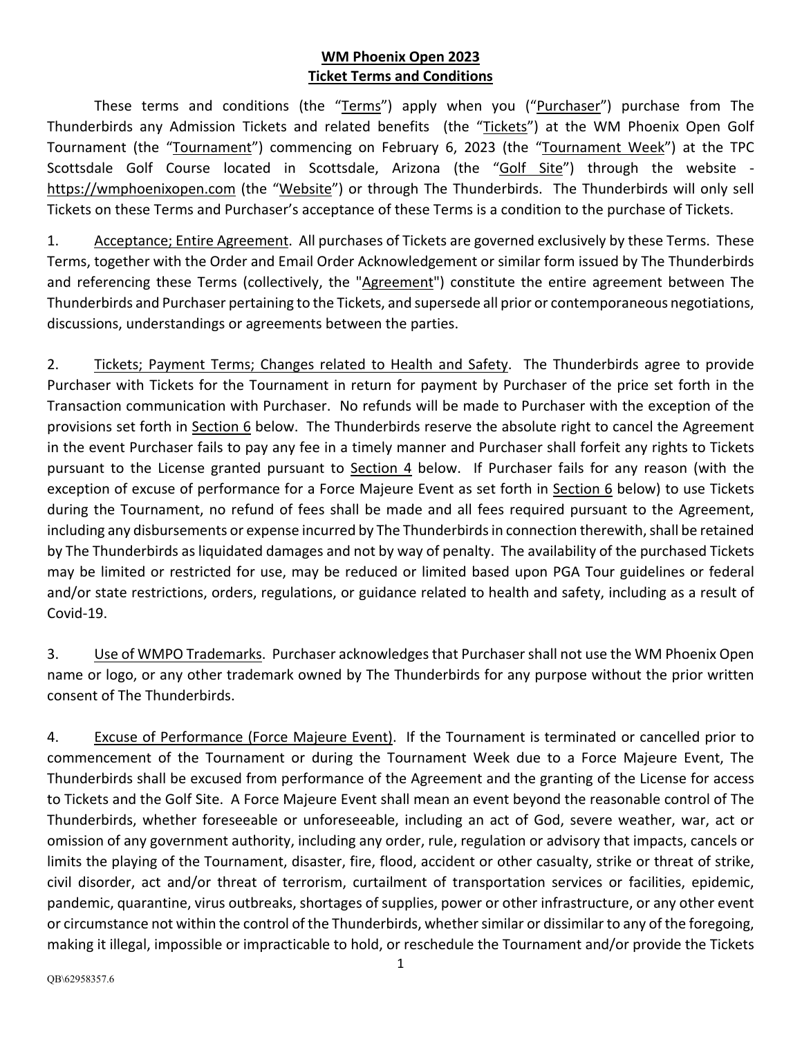## **WM Phoenix Open 2023 Ticket Terms and Conditions**

These terms and conditions (the "Terms") apply when you ("Purchaser") purchase from The Thunderbirds any Admission Tickets and related benefits (the "Tickets") at the WM Phoenix Open Golf Tournament (the "Tournament") commencing on February 6, 2023 (the "Tournament Week") at the TPC Scottsdale Golf Course located in Scottsdale, Arizona (the "Golf Site") through the website [https://wmphoenixopen.com](https://wmphoenixopen.com/) (the "Website") or through The Thunderbirds. The Thunderbirds will only sell Tickets on these Terms and Purchaser's acceptance of these Terms is a condition to the purchase of Tickets.

1. Acceptance; Entire Agreement. All purchases of Tickets are governed exclusively by these Terms. These Terms, together with the Order and Email Order Acknowledgement or similar form issued by The Thunderbirds and referencing these Terms (collectively, the "Agreement") constitute the entire agreement between The Thunderbirds and Purchaser pertaining to the Tickets, and supersede all prior or contemporaneous negotiations, discussions, understandings or agreements between the parties.

2. Tickets; Payment Terms; Changes related to Health and Safety. The Thunderbirds agree to provide Purchaser with Tickets for the Tournament in return for payment by Purchaser of the price set forth in the Transaction communication with Purchaser. No refunds will be made to Purchaser with the exception of the provisions set forth in Section 6 below. The Thunderbirds reserve the absolute right to cancel the Agreement in the event Purchaser fails to pay any fee in a timely manner and Purchaser shall forfeit any rights to Tickets pursuant to the License granted pursuant to Section 4 below. If Purchaser fails for any reason (with the exception of excuse of performance for a Force Majeure Event as set forth in Section 6 below) to use Tickets during the Tournament, no refund of fees shall be made and all fees required pursuant to the Agreement, including any disbursements or expense incurred by The Thunderbirds in connection therewith, shall be retained by The Thunderbirds as liquidated damages and not by way of penalty. The availability of the purchased Tickets may be limited or restricted for use, may be reduced or limited based upon PGA Tour guidelines or federal and/or state restrictions, orders, regulations, or guidance related to health and safety, including as a result of Covid-19.

3. Use of WMPO Trademarks. Purchaser acknowledges that Purchaser shall not use the WM Phoenix Open name or logo, or any other trademark owned by The Thunderbirds for any purpose without the prior written consent of The Thunderbirds.

4. Excuse of Performance (Force Majeure Event). If the Tournament is terminated or cancelled prior to commencement of the Tournament or during the Tournament Week due to a Force Majeure Event, The Thunderbirds shall be excused from performance of the Agreement and the granting of the License for access to Tickets and the Golf Site. A Force Majeure Event shall mean an event beyond the reasonable control of The Thunderbirds, whether foreseeable or unforeseeable, including an act of God, severe weather, war, act or omission of any government authority, including any order, rule, regulation or advisory that impacts, cancels or limits the playing of the Tournament, disaster, fire, flood, accident or other casualty, strike or threat of strike, civil disorder, act and/or threat of terrorism, curtailment of transportation services or facilities, epidemic, pandemic, quarantine, virus outbreaks, shortages of supplies, power or other infrastructure, or any other event or circumstance not within the control of the Thunderbirds, whether similar or dissimilar to any of the foregoing, making it illegal, impossible or impracticable to hold, or reschedule the Tournament and/or provide the Tickets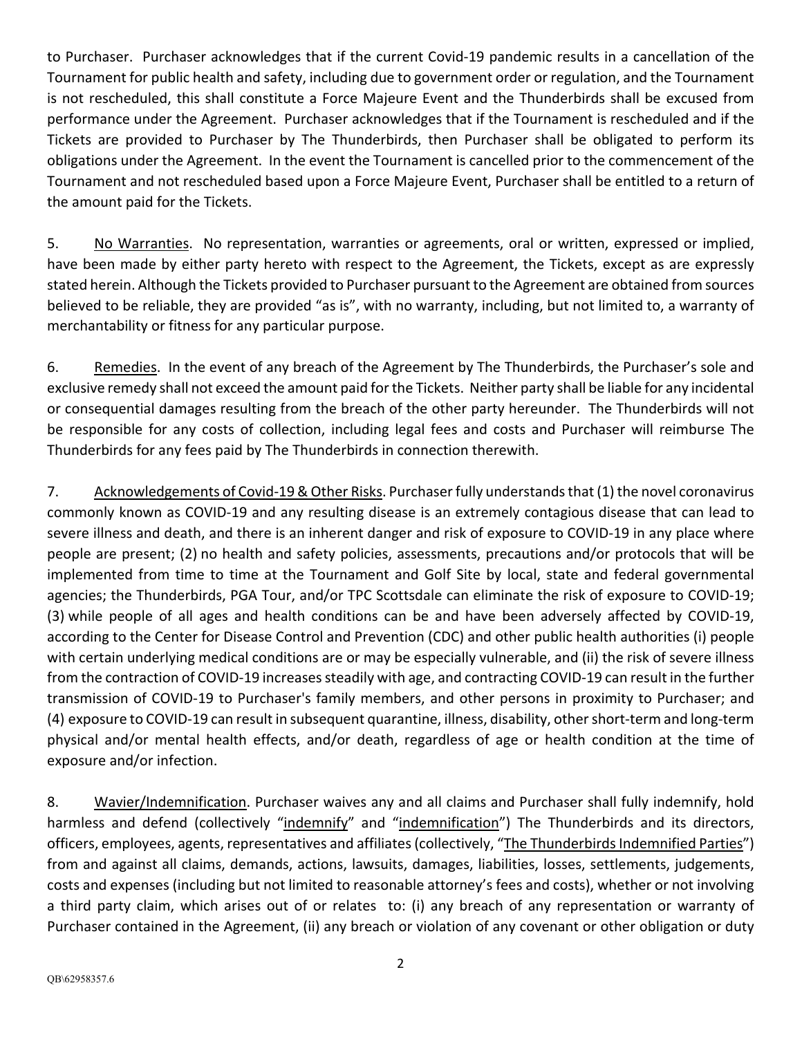to Purchaser. Purchaser acknowledges that if the current Covid-19 pandemic results in a cancellation of the Tournament for public health and safety, including due to government order or regulation, and the Tournament is not rescheduled, this shall constitute a Force Majeure Event and the Thunderbirds shall be excused from performance under the Agreement. Purchaser acknowledges that if the Tournament is rescheduled and if the Tickets are provided to Purchaser by The Thunderbirds, then Purchaser shall be obligated to perform its obligations under the Agreement. In the event the Tournament is cancelled prior to the commencement of the Tournament and not rescheduled based upon a Force Majeure Event, Purchaser shall be entitled to a return of the amount paid for the Tickets.

5. No Warranties. No representation, warranties or agreements, oral or written, expressed or implied, have been made by either party hereto with respect to the Agreement, the Tickets, except as are expressly stated herein. Although the Tickets provided to Purchaser pursuant to the Agreement are obtained from sources believed to be reliable, they are provided "as is", with no warranty, including, but not limited to, a warranty of merchantability or fitness for any particular purpose.

6. Remedies. In the event of any breach of the Agreement by The Thunderbirds, the Purchaser's sole and exclusive remedy shall not exceed the amount paid for the Tickets. Neither party shall be liable for any incidental or consequential damages resulting from the breach of the other party hereunder. The Thunderbirds will not be responsible for any costs of collection, including legal fees and costs and Purchaser will reimburse The Thunderbirds for any fees paid by The Thunderbirds in connection therewith.

7. Acknowledgements of Covid-19 & Other Risks. Purchaser fully understands that (1) the novel coronavirus commonly known as COVID-19 and any resulting disease is an extremely contagious disease that can lead to severe illness and death, and there is an inherent danger and risk of exposure to COVID-19 in any place where people are present; (2) no health and safety policies, assessments, precautions and/or protocols that will be implemented from time to time at the Tournament and Golf Site by local, state and federal governmental agencies; the Thunderbirds, PGA Tour, and/or TPC Scottsdale can eliminate the risk of exposure to COVID-19; (3) while people of all ages and health conditions can be and have been adversely affected by COVID-19, according to the Center for Disease Control and Prevention (CDC) and other public health authorities (i) people with certain underlying medical conditions are or may be especially vulnerable, and (ii) the risk of severe illness from the contraction of COVID-19 increases steadily with age, and contracting COVID-19 can result in the further transmission of COVID-19 to Purchaser's family members, and other persons in proximity to Purchaser; and (4) exposure to COVID-19 can result in subsequent quarantine, illness, disability, other short-term and long-term physical and/or mental health effects, and/or death, regardless of age or health condition at the time of exposure and/or infection.

8. Wavier/Indemnification. Purchaser waives any and all claims and Purchaser shall fully indemnify, hold harmless and defend (collectively "indemnify" and "indemnification") The Thunderbirds and its directors, officers, employees, agents, representatives and affiliates (collectively, "The Thunderbirds Indemnified Parties") from and against all claims, demands, actions, lawsuits, damages, liabilities, losses, settlements, judgements, costs and expenses (including but not limited to reasonable attorney's fees and costs), whether or not involving a third party claim, which arises out of or relates to: (i) any breach of any representation or warranty of Purchaser contained in the Agreement, (ii) any breach or violation of any covenant or other obligation or duty